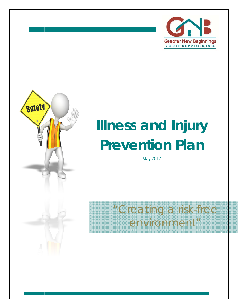



# **Illness and Injury<br>
<b>Prevention Plan Prevention Plan**

May 2017

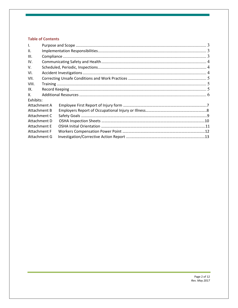## **Table of Contents**

| $\mathbf{L}$ |  |  |
|--------------|--|--|
| II.          |  |  |
| III.         |  |  |
| IV.          |  |  |
| V.           |  |  |
| VI.          |  |  |
| VII.         |  |  |
| VIII.        |  |  |
| IX.          |  |  |
| Χ.           |  |  |
| Exhibits:    |  |  |
| Attachment A |  |  |
| Attachment B |  |  |
| Attachment C |  |  |
| Attachment D |  |  |
| Attachment E |  |  |
| Attachment F |  |  |
| Attachment G |  |  |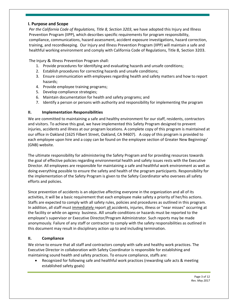#### **I. Purpose and Scope**

*Per the California Code of Regulations, Title 8, Section 3203*, we have adopted this Injury and Illness Prevention Program (IIPP), which describes specific requirements for program responsibility, compliance, communications, hazard assessment, accident exposure investigations, hazard correction, training, and recordkeeping. Our Injury and Illness Prevention Program (IIPP) will maintain a safe and healthful working environment and comply with California Code of Regulations, Title 8, Section 3203.

The Injury & Illness Prevention Program shall:

- 1. Provide procedures for identifying and evaluating hazards and unsafe conditions;
- 2. Establish procedures for correcting hazards and unsafe conditions;
- 3. Ensure communication with employees regarding health and safety matters and how to report hazards;
- 4. Provide employee training programs;
- 5. Develop compliance strategies;
- 6. Maintain documentation for health and safety programs; and
- 7. Identify a person or persons with authority and responsibility for implementing the program

#### **II. Implementation Responsibilities**

We are committed to maintaining a safe and healthy environment for our staff, residents, contractors and visitors. To achieve this goal, we have implemented this Safety Program designed to prevent injuries, accidents and illness at our program locations. A complete copy of this program is maintained at our office in Oakland (1625 Filbert Street, Oakland, CA 94607). A copy of this program is provided to each employee upon hire and a copy can be found on the employee section of Greater New Beginnings' (GNB) website.

The ultimate responsibility for administering the Safety Program and for providing resources towards the goal of effective policies regarding environmental health and safety issues rests with the Executive Director. All employees are responsible for maintaining a safe and healthful work environment as well as doing everything possible to ensure the safety and health of the program participants. Responsibility for the implementation of the Safety Program is given to the Safety Coordinator who oversees all safety efforts and policies.

Since prevention of accidents is an objective affecting everyone in the organization and all of its activities, it will be a basic requirement that each employee make safety a priority of her/his actions. Staffs are expected to comply with all safety rules, policies and procedures as outlined in this program. In addition, all staff must immediately report all accidents, injuries, illness or "near misses" occurring at the facility or while on agency business. All unsafe conditions or hazards must be reported to the employee's supervisor or Executive Director/Program Administrator. Such reports may be made anonymously. Failure of any staff or contractor to comply with the safety responsibilities as outlined in this document may result in disciplinary action up to and including termination.

#### **II. Compliance**

We strive to ensure that all staff and contractors comply with safe and healthy work practices. The Executive Director in collaboration with Safety Coordinator is responsible for establishing and maintaining sound health and safety practices. To ensure compliance, staffs are:

 Recognized for following safe and healthful work practices (rewarding safe acts & meeting established safety goals)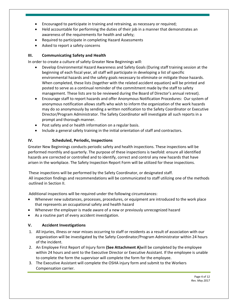- Encouraged to participate in training and retraining, as necessary or required;
- Held accountable for performing the duties of their job in a manner that demonstrates an awareness of the requirements for health and safety;
- Required to participate in completing Hazard Assessments
- Asked to report a safety concerns

## **III. Communicating Safety and Health**

In order to create a culture of safety Greater New Beginnings will:

- Develop Environmental Hazard Awareness and Safety Goals (During staff training session at the beginning of each fiscal year, all staff will participate in developing a list of specific environmental hazards and the safety goals necessary to eliminate or mitigate those hazards. When completed, these lists (together with the related accident equation) will be printed and posted to serve as a continual reminder of the commitment made by the staff to safety management. These lists are to be reviewed during the Board of Director's annual retreat).
- Encourage staff to report hazards and offer Anonymous Notification Procedures: Our system of anonymous notification allows staffs who wish to inform the organization of the work hazards may do so anonymously by sending a written notification to the Safety Coordinator or Executive Director/Program Administrator. The Safety Coordinator will investigate all such reports in a prompt and thorough manner.
- Post safety and or health information on a regular basis.
- Include a general safety training in the initial orientation of staff and contractors.

## **IV. Scheduled, Periodic, Inspections**

Greater New Beginnings conducts periodic safety and health inspections. These inspections will be performed monthly and quarterly. The purpose of these inspections is twofold: ensure all identified hazards are corrected or controlled and to identify, correct and control any new hazards that have arisen in the workplace. The Safety Inspection Report Form will be utilized for these inspections.

These inspections will be performed by the Safety Coordinator, or designated staff. All inspection findings and recommendations will be communicated to staff utilizing one of the methods outlined in Section II.

Additional inspections will be required under the following circumstances:

- Whenever new substances, processes, procedures, or equipment are introduced to the work place that represents an occupational safety and health hazard
- Whenever the employer is made aware of a new or previously unrecognized hazard
- As a routine part of every accident investigation.

#### **V. Accident Investigations**

- 1. All injuries, illness or near misses occurring to staff or residents as a result of association with our organization will be investigated by the Safety Coordinator/Program Administrator within 24 hours of the incident.
- 2. An Employee First Report of Injury form **(See Attachment A)**will be completed by the employee within 24 hours and sent to the Executive Director or Executive Assistant. If the employee is unable to complete the form the supervisor will complete the form for the employee.
- 3. The Executive Assistant will complete the OSHA injury form and submit to the Workers Compensation carrier.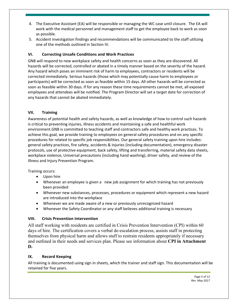- 4. The Executive Assistant (EA) will be responsible or managing the WC case until closure. The EA will work with the medical personnel and management staff to get the employee back to work as soon as possible.
- 5. Accident investigation findings and recommendations will be communicated to the staff utilizing one of the methods outlined in Section IV.

## **VI. Correcting Unsafe Conditions and Work Practices**

GNB will respond to new workplace safety and health concerns as soon as they are discovered. All hazards will be corrected, controlled or abated in a timely manner based on the severity of the hazard. Any hazard which poses an imminent risk of harm to employees, contractors or residents will be corrected immediately. Serious hazards (those which may potentially cause harm to employees or participants) will be corrected as soon as feasible within 15 days. All other hazards will be corrected as soon as feasible within 30 days. If for any reason these time requirements cannot be met, all exposed employees and attendees will be notified. The Program Director will set a target date for correction of any hazards that cannot be abated immediately.

## **VII. Training**

Awareness of potential health and safety hazards, as well as knowledge of how to control such hazards is critical to preventing injuries, illness accidents and maintaining a safe and healthful work environment.GNB is committed to teaching staff and contractors safe and healthy work practices. To achieve this goal, we provide training to employees on general safety procedures and on any specific procedures for related to specific job responsibilities. Our general safety training upon hire includes: general safety practices, fire safety, accidents & injuries (including documentation), emergency disaster protocols, use of protective equipment, back safety, lifting and transferring, material safety data sheets, workplace violence, Universal precautions (including hand washing), driver safety, and review of the Illness and Injury Prevention Program.

Training occurs:

- Upon hire
- Whenever an employee is given a new job assignment for which training has not previously been provided
- Whenever new substances, processes, procedures or equipment which represent a new hazard are introduced into the workplace
- Whenever we are made aware of a new or previously unrecognized hazard
- Whenever the Safety Coordinator or any staff believes additional training is necessary

## **VIII. Crisis Prevention Intervention**

All staff working with residents are certified in Crisis Prevention Intervention (CPI) within 60 days of hire. The certification covers a verbal de-escalation process, assists staff in protecting themselves from physical harm and allows staff to restrain residents appropriately if necessary and outlined in their needs and services plan. Please see information about **CPI in Attachment D.**

## **IX. Record Keeping**

All training is documented using sign in sheets, which the trainer and staff sign. This documentation will be retained for five years.

> Page 5 of 12 *Rev. May 2017*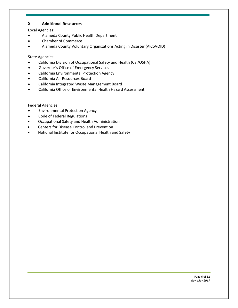#### **X. Additional Resources**

Local Agencies:

- Alameda County Public Health Department
- Chamber of Commerce
- Alameda County Voluntary Organizations Acting in Disaster (AlCoVOID)

State Agencies:

- California Division of Occupational Safety and Health (Cal/OSHA)
- Governor's Office of Emergency Services
- California Environmental Protection Agency
- California Air Resources Board
- California Integrated Waste Management Board
- California Office of Environmental Health Hazard Assessment

Federal Agencies:

- Environmental Protection Agency
- Code of Federal Regulations
- Occupational Safety and Health Administration
- Centers for Disease Control and Prevention
- National Institute for Occupational Health and Safety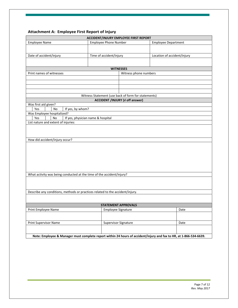# **Attachment A: Employee First Report of Injury**

| <b>ACCIDENT/INJURY EMPLOYEE FIRST REPORT</b> |           |                  |                                                                               |                                                     |                                                                                                                    |
|----------------------------------------------|-----------|------------------|-------------------------------------------------------------------------------|-----------------------------------------------------|--------------------------------------------------------------------------------------------------------------------|
| <b>Employee Name</b>                         |           |                  | <b>Employee Phone Number</b>                                                  |                                                     | <b>Employee Department</b>                                                                                         |
|                                              |           |                  |                                                                               |                                                     |                                                                                                                    |
| Date of accident/injury                      |           |                  | Time of accident/injury                                                       |                                                     | Location of accident/injury                                                                                        |
|                                              |           |                  |                                                                               |                                                     |                                                                                                                    |
|                                              |           |                  |                                                                               |                                                     |                                                                                                                    |
| Print names of witnesses                     |           |                  |                                                                               | <b>WITNESSES</b><br>Witness phone numbers           |                                                                                                                    |
|                                              |           |                  |                                                                               |                                                     |                                                                                                                    |
|                                              |           |                  |                                                                               |                                                     |                                                                                                                    |
|                                              |           |                  |                                                                               |                                                     |                                                                                                                    |
|                                              |           |                  |                                                                               |                                                     |                                                                                                                    |
|                                              |           |                  |                                                                               | Witness Statement (use back of form for statements) |                                                                                                                    |
|                                              |           |                  |                                                                               | <b>ACCIDENT /INJURY (v off answer)</b>              |                                                                                                                    |
| Was first aid given?                         |           |                  |                                                                               |                                                     |                                                                                                                    |
| Yes                                          | No        | If yes, by whom? |                                                                               |                                                     |                                                                                                                    |
| Was Employee hospitalized?                   |           |                  |                                                                               |                                                     |                                                                                                                    |
| Yes                                          | <b>No</b> |                  | If yes, physician name & hospital                                             |                                                     |                                                                                                                    |
| List nature and extent of injuries:          |           |                  |                                                                               |                                                     |                                                                                                                    |
|                                              |           |                  |                                                                               |                                                     |                                                                                                                    |
|                                              |           |                  |                                                                               |                                                     |                                                                                                                    |
| How did accident/injury occur?               |           |                  |                                                                               |                                                     |                                                                                                                    |
|                                              |           |                  |                                                                               |                                                     |                                                                                                                    |
|                                              |           |                  |                                                                               |                                                     |                                                                                                                    |
|                                              |           |                  |                                                                               |                                                     |                                                                                                                    |
|                                              |           |                  |                                                                               |                                                     |                                                                                                                    |
|                                              |           |                  |                                                                               |                                                     |                                                                                                                    |
|                                              |           |                  |                                                                               |                                                     |                                                                                                                    |
|                                              |           |                  |                                                                               |                                                     |                                                                                                                    |
|                                              |           |                  | What activity was being conducted at the time of the accident/injury?         |                                                     |                                                                                                                    |
|                                              |           |                  |                                                                               |                                                     |                                                                                                                    |
|                                              |           |                  |                                                                               |                                                     |                                                                                                                    |
|                                              |           |                  |                                                                               |                                                     |                                                                                                                    |
|                                              |           |                  | Describe any conditions, methods or practices related to the accident/injury. |                                                     |                                                                                                                    |
|                                              |           |                  |                                                                               |                                                     |                                                                                                                    |
|                                              |           |                  |                                                                               | <b>STATEMENT APPROVALS</b>                          |                                                                                                                    |
| Print Employee Name                          |           |                  | Employee Signature                                                            |                                                     | Date                                                                                                               |
|                                              |           |                  |                                                                               |                                                     |                                                                                                                    |
|                                              |           |                  |                                                                               |                                                     |                                                                                                                    |
| Print Supervisor Name                        |           |                  | Supervisor Signature                                                          |                                                     | Date                                                                                                               |
|                                              |           |                  |                                                                               |                                                     |                                                                                                                    |
|                                              |           |                  |                                                                               |                                                     |                                                                                                                    |
|                                              |           |                  |                                                                               |                                                     | Note: Employee & Manager must complete report within 24 hours of accident/injury and fax to HR, at 1-866-534-6639. |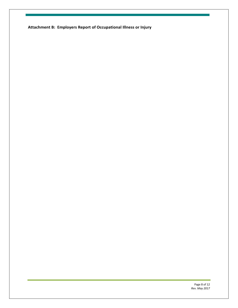**Attachment B: Employers Report of Occupational Illness or Injury**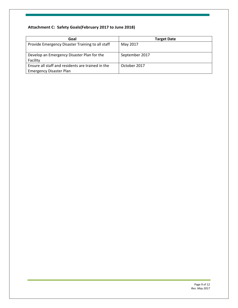# **Attachment C: Safety Goals(February 2017 to June 2018)**

| Goal                                              | <b>Target Date</b> |
|---------------------------------------------------|--------------------|
| Provide Emergency Disaster Training to all staff  | May 2017           |
| Develop an Emergency Disaster Plan for the        | September 2017     |
| Facility                                          |                    |
| Ensure all staff and residents are trained in the | October 2017       |
| <b>Emergency Disaster Plan</b>                    |                    |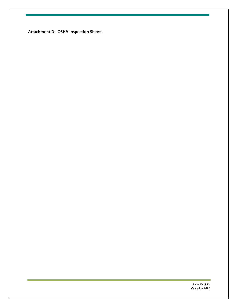**Attachment D: OSHA Inspection Sheets**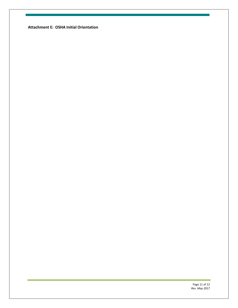**Attachment E: OSHA Initial Orientation**